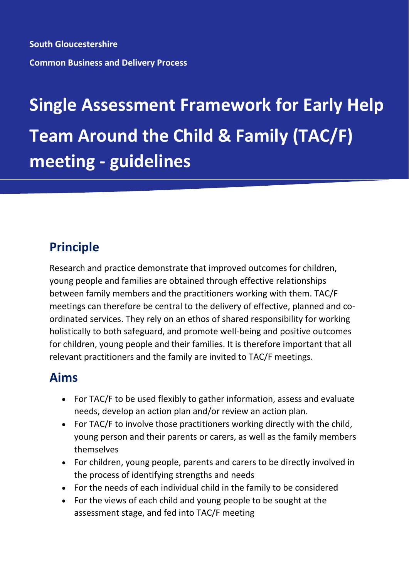**South Gloucestershire Common Business and Delivery Process**

# **Single Assessment Framework for Early Help Team Around the Child & Family (TAC/F) meeting - guidelines**

# **Principle**

Research and practice demonstrate that improved outcomes for children, young people and families are obtained through effective relationships between family members and the practitioners working with them. TAC/F meetings can therefore be central to the delivery of effective, planned and coordinated services. They rely on an ethos of shared responsibility for working holistically to both safeguard, and promote well-being and positive outcomes for children, young people and their families. It is therefore important that all relevant practitioners and the family are invited to TAC/F meetings.

## **Aims**

- For TAC/F to be used flexibly to gather information, assess and evaluate needs, develop an action plan and/or review an action plan.
- For TAC/F to involve those practitioners working directly with the child, young person and their parents or carers, as well as the family members themselves
- For children, young people, parents and carers to be directly involved in the process of identifying strengths and needs
- For the needs of each individual child in the family to be considered
- For the views of each child and young people to be sought at the assessment stage, and fed into TAC/F meeting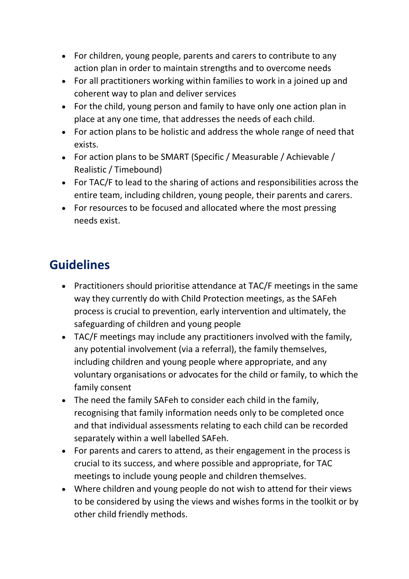- For children, young people, parents and carers to contribute to any action plan in order to maintain strengths and to overcome needs
- For all practitioners working within families to work in a joined up and coherent way to plan and deliver services
- For the child, young person and family to have only one action plan in place at any one time, that addresses the needs of each child.
- For action plans to be holistic and address the whole range of need that exists.
- For action plans to be SMART (Specific / Measurable / Achievable / Realistic / Timebound)
- For TAC/F to lead to the sharing of actions and responsibilities across the entire team, including children, young people, their parents and carers.
- For resources to be focused and allocated where the most pressing needs exist.

# **Guidelines**

- Practitioners should prioritise attendance at TAC/F meetings in the same way they currently do with Child Protection meetings, as the SAFeh process is crucial to prevention, early intervention and ultimately, the safeguarding of children and young people
- TAC/F meetings may include any practitioners involved with the family, any potential involvement (via a referral), the family themselves, including children and young people where appropriate, and any voluntary organisations or advocates for the child or family, to which the family consent
- The need the family SAFeh to consider each child in the family, recognising that family information needs only to be completed once and that individual assessments relating to each child can be recorded separately within a well labelled SAFeh.
- For parents and carers to attend, as their engagement in the process is crucial to its success, and where possible and appropriate, for TAC meetings to include young people and children themselves.
- Where children and young people do not wish to attend for their views to be considered by using the views and wishes forms in the toolkit or by other child friendly methods.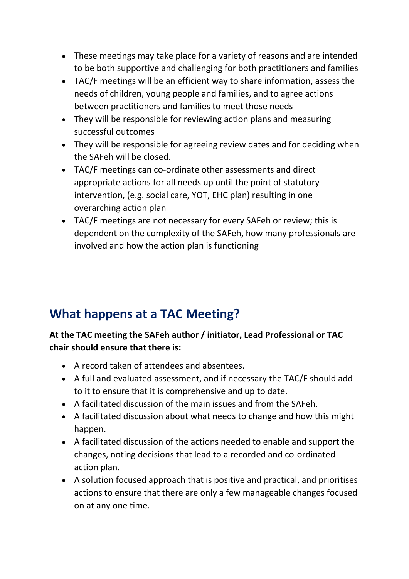- These meetings may take place for a variety of reasons and are intended to be both supportive and challenging for both practitioners and families
- TAC/F meetings will be an efficient way to share information, assess the needs of children, young people and families, and to agree actions between practitioners and families to meet those needs
- They will be responsible for reviewing action plans and measuring successful outcomes
- They will be responsible for agreeing review dates and for deciding when the SAFeh will be closed.
- TAC/F meetings can co-ordinate other assessments and direct appropriate actions for all needs up until the point of statutory intervention, (e.g. social care, YOT, EHC plan) resulting in one overarching action plan
- TAC/F meetings are not necessary for every SAFeh or review; this is dependent on the complexity of the SAFeh, how many professionals are involved and how the action plan is functioning

## **What happens at a TAC Meeting?**

#### **At the TAC meeting the SAFeh author / initiator, Lead Professional or TAC chair should ensure that there is:**

- A record taken of attendees and absentees.
- A full and evaluated assessment, and if necessary the TAC/F should add to it to ensure that it is comprehensive and up to date.
- A facilitated discussion of the main issues and from the SAFeh.
- A facilitated discussion about what needs to change and how this might happen.
- A facilitated discussion of the actions needed to enable and support the changes, noting decisions that lead to a recorded and co-ordinated action plan.
- A solution focused approach that is positive and practical, and prioritises actions to ensure that there are only a few manageable changes focused on at any one time.